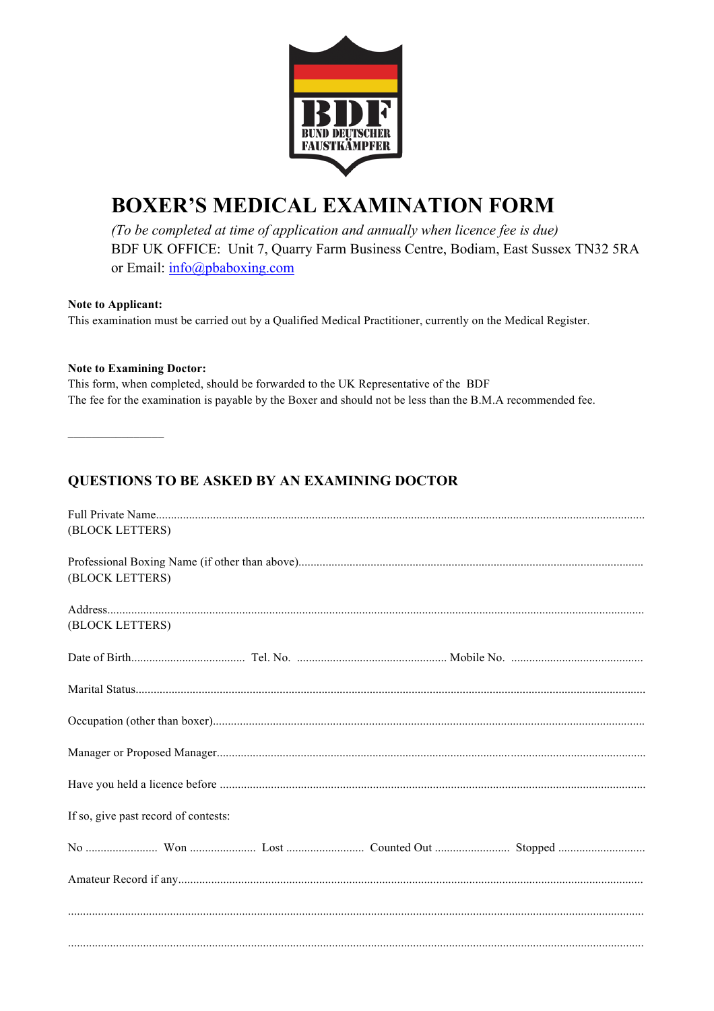

# **BOXER'S MEDICAL EXAMINATION FORM**

(To be completed at time of application and annually when licence fee is due) BDF UK OFFICE: Unit 7, Quarry Farm Business Centre, Bodiam, East Sussex TN32 5RA or Email: info@pbaboxing.com

#### Note to Applicant:

This examination must be carried out by a Qualified Medical Practitioner, currently on the Medical Register.

#### **Note to Examining Doctor:**

This form, when completed, should be forwarded to the UK Representative of the BDF The fee for the examination is payable by the Boxer and should not be less than the B.M.A recommended fee.

## QUESTIONS TO BE ASKED BY AN EXAMINING DOCTOR

| (BLOCK LETTERS)                      |
|--------------------------------------|
|                                      |
|                                      |
| (BLOCK LETTERS)                      |
|                                      |
|                                      |
| (BLOCK LETTERS)                      |
|                                      |
|                                      |
|                                      |
|                                      |
|                                      |
|                                      |
|                                      |
|                                      |
|                                      |
|                                      |
| If so, give past record of contests: |
|                                      |
|                                      |
|                                      |
|                                      |
|                                      |
|                                      |
|                                      |
|                                      |
|                                      |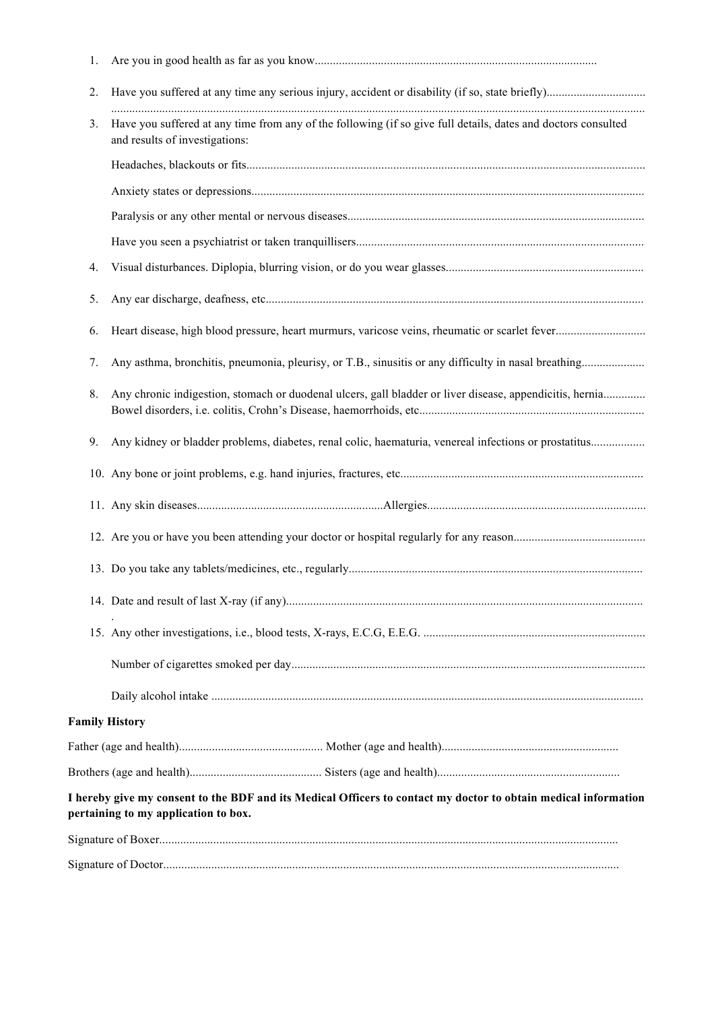| 1. |                                                                                                                                                         |
|----|---------------------------------------------------------------------------------------------------------------------------------------------------------|
| 2. |                                                                                                                                                         |
| 3. | Have you suffered at any time from any of the following (if so give full details, dates and doctors consulted<br>and results of investigations:         |
|    |                                                                                                                                                         |
|    |                                                                                                                                                         |
|    |                                                                                                                                                         |
|    |                                                                                                                                                         |
| 4. |                                                                                                                                                         |
| 5. |                                                                                                                                                         |
| 6. |                                                                                                                                                         |
| 7. |                                                                                                                                                         |
| 8. | Any chronic indigestion, stomach or duodenal ulcers, gall bladder or liver disease, appendicitis, hernia                                                |
| 9. | Any kidney or bladder problems, diabetes, renal colic, haematuria, venereal infections or prostatitus                                                   |
|    |                                                                                                                                                         |
|    |                                                                                                                                                         |
|    |                                                                                                                                                         |
|    |                                                                                                                                                         |
|    |                                                                                                                                                         |
|    |                                                                                                                                                         |
|    |                                                                                                                                                         |
|    |                                                                                                                                                         |
|    |                                                                                                                                                         |
|    | <b>Family History</b>                                                                                                                                   |
|    |                                                                                                                                                         |
|    |                                                                                                                                                         |
|    | I hereby give my consent to the BDF and its Medical Officers to contact my doctor to obtain medical information<br>pertaining to my application to box. |
|    |                                                                                                                                                         |
|    |                                                                                                                                                         |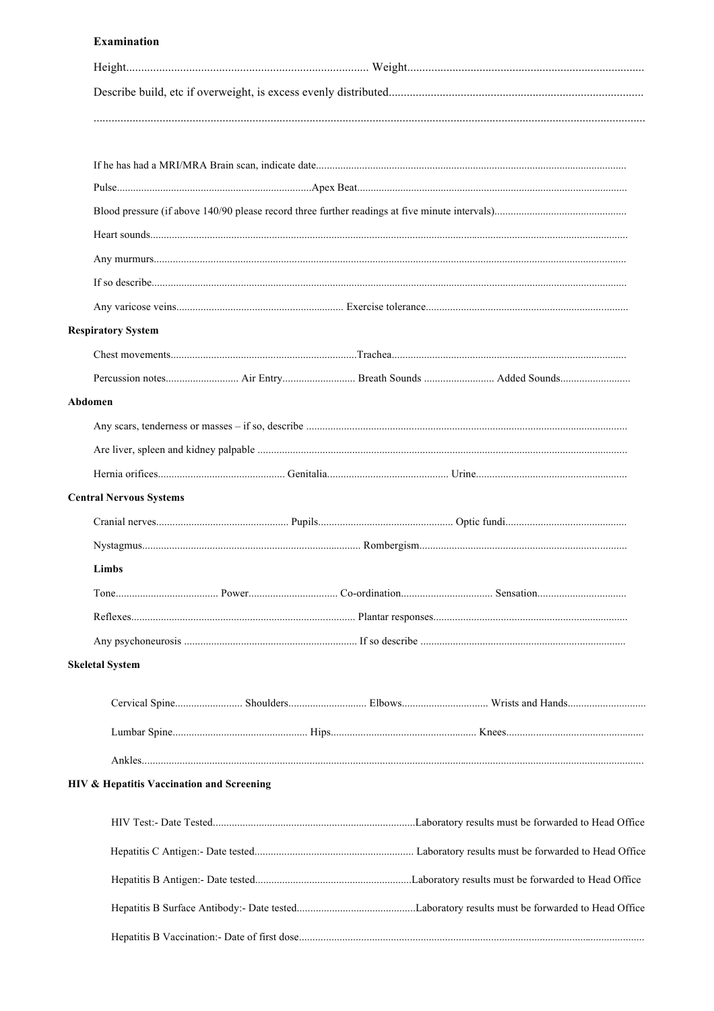#### **Examination**

| <b>Respiratory System</b> |                                           |
|---------------------------|-------------------------------------------|
|                           |                                           |
|                           |                                           |
| Abdomen                   |                                           |
|                           |                                           |
|                           |                                           |
|                           |                                           |
|                           | <b>Central Nervous Systems</b>            |
|                           |                                           |
|                           |                                           |
| Limbs                     |                                           |
|                           |                                           |
|                           |                                           |
|                           |                                           |
| <b>Skeletal System</b>    |                                           |
|                           |                                           |
|                           |                                           |
|                           |                                           |
|                           |                                           |
|                           | HIV & Hepatitis Vaccination and Screening |
|                           |                                           |
|                           |                                           |
|                           |                                           |
|                           |                                           |
|                           |                                           |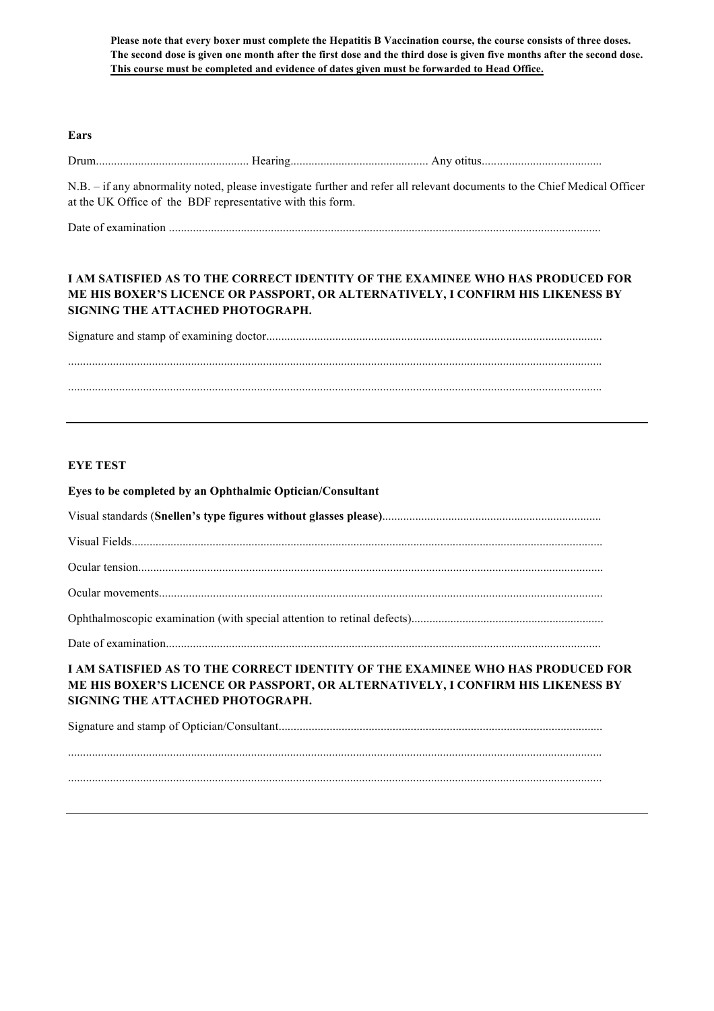**Please note that every boxer must complete the Hepatitis B Vaccination course, the course consists of three doses. The second dose is given one month after the first dose and the third dose is given five months after the second dose. This course must be completed and evidence of dates given must be forwarded to Head Office.**

#### **Ears**

Drum................................................... Hearing.............................................. Any otitus........................................

N.B. – if any abnormality noted, please investigate further and refer all relevant documents to the Chief Medical Officer at the UK Office of the BDF representative with this form.

Date of examination ................................................................................................................................................

### **I AM SATISFIED AS TO THE CORRECT IDENTITY OF THE EXAMINEE WHO HAS PRODUCED FOR ME HIS BOXER'S LICENCE OR PASSPORT, OR ALTERNATIVELY, I CONFIRM HIS LIKENESS BY SIGNING THE ATTACHED PHOTOGRAPH.**

Signature and stamp of examining doctor................................................................................................................

..................................................................................................................................................................................

..................................................................................................................................................................................

#### **EYE TEST**

| Eyes to be completed by an Ophthalmic Optician/Consultant                                                                                                                                             |
|-------------------------------------------------------------------------------------------------------------------------------------------------------------------------------------------------------|
|                                                                                                                                                                                                       |
|                                                                                                                                                                                                       |
|                                                                                                                                                                                                       |
|                                                                                                                                                                                                       |
|                                                                                                                                                                                                       |
|                                                                                                                                                                                                       |
| I AM SATISFIED AS TO THE CORRECT IDENTITY OF THE EXAMINEE WHO HAS PRODUCED FOR<br>ME HIS BOXER'S LICENCE OR PASSPORT, OR ALTERNATIVELY, I CONFIRM HIS LIKENESS BY<br>SIGNING THE ATTACHED PHOTOGRAPH. |
|                                                                                                                                                                                                       |

.................................................................................................................................................................................. ..................................................................................................................................................................................